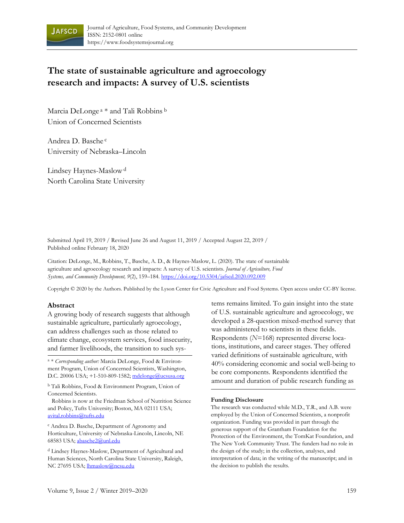

# **The state of sustainable agriculture and agroecology research and impacts: A survey of U.S. scientists**

Marcia DeLonge<sup>a</sup> \* and Tali Robbins<sup>b</sup> Union of Concerned Scientists

Andrea D. Basche <sup>c</sup> University of Nebraska–Lincoln

Lindsey Haynes-Maslow<sup>d</sup> North Carolina State University

Submitted April 19, 2019 / Revised June 26 and August 11, 2019 / Accepted August 22, 2019 / Published online February 18, 2020

Citation: DeLonge, M., Robbins, T., Basche, A. D., & Haynes-Maslow, L. (2020). The state of sustainable agriculture and agroecology research and impacts: A survey of U.S. scientists. *Journal of Agriculture, Food Systems, and Community Development, 9*(2), 159–184. https://doi.org/10.5304/jafscd.2020.092.009

Copyright © 2020 by the Authors. Published by the Lyson Center for Civic Agriculture and Food Systems. Open access under CC-BY license.

#### **Abstract**

A growing body of research suggests that although sustainable agriculture, particularly agroecology, can address challenges such as those related to climate change, ecosystem services, food insecurity, and farmer livelihoods, the transition to such sys-

<sup>a</sup> \* *Corresponding author:* Marcia DeLonge, Food & Environment Program, Union of Concerned Scientists, Washington, D.C. 20006 USA; +1-510-809-1582; mdelonge@ucsusa.org

b Tali Robbins, Food & Environment Program, Union of Concerned Scientists.

Robbins is now at the Friedman School of Nutrition Science and Policy, Tufts University; Boston, MA 02111 USA; avital.robbins@tufts.edu

c Andrea D. Basche, Department of Agronomy and Horticulture, University of Nebraska-Lincoln, Lincoln, NE 68583 USA; abasche2@unl.edu

d Lindsey Haynes-Maslow, Department of Agricultural and Human Sciences, North Carolina State University, Raleigh, NC 27695 USA; lhmaslow@ncsu.edu

tems remains limited. To gain insight into the state of U.S. sustainable agriculture and agroecology, we developed a 28-question mixed-method survey that was administered to scientists in these fields. Respondents (*N*=168) represented diverse locations, institutions, and career stages. They offered varied definitions of sustainable agriculture, with 40% considering economic and social well-being to be core components. Respondents identified the amount and duration of public research funding as

#### **Funding Disclosure**

The research was conducted while M.D., T.R., and A.B. were employed by the Union of Concerned Scientists, a nonprofit organization. Funding was provided in part through the generous support of the Grantham Foundation for the Protection of the Environment, the TomKat Foundation, and The New York Community Trust. The funders had no role in the design of the study; in the collection, analyses, and interpretation of data; in the writing of the manuscript; and in the decision to publish the results.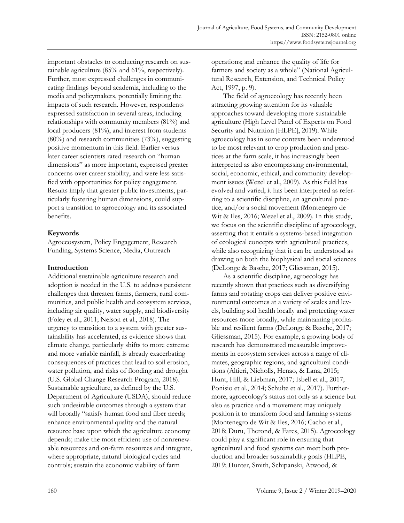important obstacles to conducting research on sustainable agriculture (85% and 61%, respectively). Further, most expressed challenges in communicating findings beyond academia, including to the media and policymakers, potentially limiting the impacts of such research. However, respondents expressed satisfaction in several areas, including relationships with community members (81%) and local producers (81%), and interest from students  $(80\%)$  and research communities  $(73\%)$ , suggesting positive momentum in this field. Earlier versus later career scientists rated research on "human dimensions" as more important, expressed greater concerns over career stability, and were less satisfied with opportunities for policy engagement. Results imply that greater public investments, particularly fostering human dimensions, could support a transition to agroecology and its associated benefits.

# **Keywords**

Agroecosystem, Policy Engagement, Research Funding, Systems Science, Media, Outreach

# **Introduction**

Additional sustainable agriculture research and adoption is needed in the U.S. to address persistent challenges that threaten farms, farmers, rural communities, and public health and ecosystem services, including air quality, water supply, and biodiversity (Foley et al., 2011; Nelson et al., 2018). The urgency to transition to a system with greater sustainability has accelerated, as evidence shows that climate change, particularly shifts to more extreme and more variable rainfall, is already exacerbating consequences of practices that lead to soil erosion, water pollution, and risks of flooding and drought (U.S. Global Change Research Program, 2018). Sustainable agriculture, as defined by the U.S. Department of Agriculture (USDA), should reduce such undesirable outcomes through a system that will broadly "satisfy human food and fiber needs; enhance environmental quality and the natural resource base upon which the agriculture economy depends; make the most efficient use of nonrenewable resources and on-farm resources and integrate, where appropriate, natural biological cycles and controls; sustain the economic viability of farm

operations; and enhance the quality of life for farmers and society as a whole" (National Agricultural Research, Extension, and Technical Policy Act, 1997, p. 9).

 The field of agroecology has recently been attracting growing attention for its valuable approaches toward developing more sustainable agriculture (High Level Panel of Experts on Food Security and Nutrition [HLPE], 2019). While agroecology has in some contexts been understood to be most relevant to crop production and practices at the farm scale, it has increasingly been interpreted as also encompassing environmental, social, economic, ethical, and community development issues (Wezel et al., 2009). As this field has evolved and varied, it has been interpreted as referring to a scientific discipline, an agricultural practice, and/or a social movement (Montenegro de Wit & Iles, 2016; Wezel et al., 2009). In this study, we focus on the scientific discipline of agroecology, asserting that it entails a systems-based integration of ecological concepts with agricultural practices, while also recognizing that it can be understood as drawing on both the biophysical and social sciences (DeLonge & Basche, 2017; Gliessman, 2015).

 As a scientific discipline, agroecology has recently shown that practices such as diversifying farms and rotating crops can deliver positive environmental outcomes at a variety of scales and levels, building soil health locally and protecting water resources more broadly, while maintaining profitable and resilient farms (DeLonge & Basche, 2017; Gliessman, 2015). For example, a growing body of research has demonstrated measurable improvements in ecosystem services across a range of climates, geographic regions, and agricultural conditions (Altieri, Nicholls, Henao, & Lana, 2015; Hunt, Hill, & Liebman, 2017; Isbell et al., 2017; Ponisio et al., 2014; Schulte et al., 2017). Furthermore, agroecology's status not only as a science but also as practice and a movement may uniquely position it to transform food and farming systems (Montenegro de Wit & Iles, 2016; Cacho et al., 2018; Duru, Therond, & Fares, 2015). Agroecology could play a significant role in ensuring that agricultural and food systems can meet both production and broader sustainability goals (HLPE, 2019; Hunter, Smith, Schipanski, Atwood, &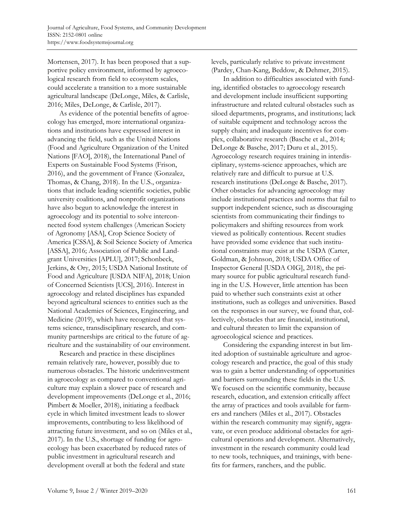Mortensen, 2017). It has been proposed that a supportive policy environment, informed by agroecological research from field to ecosystem scales, could accelerate a transition to a more sustainable agricultural landscape (DeLonge, Miles, & Carlisle, 2016; Miles, DeLonge, & Carlisle, 2017).

 As evidence of the potential benefits of agroecology has emerged, more international organizations and institutions have expressed interest in advancing the field, such as the United Nations (Food and Agriculture Organization of the United Nations [FAO], 2018), the International Panel of Experts on Sustainable Food Systems (Frison, 2016), and the government of France (Gonzalez, Thomas, & Chang, 2018). In the U.S., organizations that include leading scientific societies, public university coalitions, and nonprofit organizations have also begun to acknowledge the interest in agroecology and its potential to solve interconnected food system challenges (American Society of Agronomy [ASA], Crop Science Society of America [CSSA], & Soil Science Society of America [ASSA], 2016; Association of Public and Landgrant Universities [APLU], 2017; Schonbeck, Jerkins, & Ory, 2015; USDA National Institute of Food and Agriculture [USDA NIFA], 2018; Union of Concerned Scientists [UCS], 2016). Interest in agroecology and related disciplines has expanded beyond agricultural sciences to entities such as the National Academies of Sciences, Engineering, and Medicine (2019), which have recognized that systems science, transdisciplinary research, and community partnerships are critical to the future of agriculture and the sustainability of our environment.

 Research and practice in these disciplines remain relatively rare, however, possibly due to numerous obstacles. The historic underinvestment in agroecology as compared to conventional agriculture may explain a slower pace of research and development improvements (DeLonge et al., 2016; Pimbert & Moeller, 2018), initiating a feedback cycle in which limited investment leads to slower improvements, contributing to less likelihood of attracting future investment, and so on (Miles et al., 2017). In the U.S., shortage of funding for agroecology has been exacerbated by reduced rates of public investment in agricultural research and development overall at both the federal and state

levels, particularly relative to private investment (Pardey, Chan-Kang, Beddow, & Dehmer, 2015).

 In addition to difficulties associated with funding, identified obstacles to agroecology research and development include insufficient supporting infrastructure and related cultural obstacles such as siloed departments, programs, and institutions; lack of suitable equipment and technology across the supply chain; and inadequate incentives for complex, collaborative research (Basche et al., 2014; DeLonge & Basche, 2017; Duru et al., 2015). Agroecology research requires training in interdisciplinary, systems-science approaches, which are relatively rare and difficult to pursue at U.S. research institutions (DeLonge & Basche, 2017). Other obstacles for advancing agroecology may include institutional practices and norms that fail to support independent science, such as discouraging scientists from communicating their findings to policymakers and shifting resources from work viewed as politically contentious. Recent studies have provided some evidence that such institutional constraints may exist at the USDA (Carter, Goldman, & Johnson, 2018; USDA Office of Inspector General [USDA OIG], 2018), the primary source for public agricultural research funding in the U.S. However, little attention has been paid to whether such constraints exist at other institutions, such as colleges and universities. Based on the responses in our survey, we found that, collectively, obstacles that are financial, institutional, and cultural threaten to limit the expansion of agroecological science and practices.

 Considering the expanding interest in but limited adoption of sustainable agriculture and agroecology research and practice, the goal of this study was to gain a better understanding of opportunities and barriers surrounding these fields in the U.S. We focused on the scientific community, because research, education, and extension critically affect the array of practices and tools available for farmers and ranchers (Miles et al., 2017). Obstacles within the research community may signify, aggravate, or even produce additional obstacles for agricultural operations and development. Alternatively, investment in the research community could lead to new tools, techniques, and trainings, with benefits for farmers, ranchers, and the public.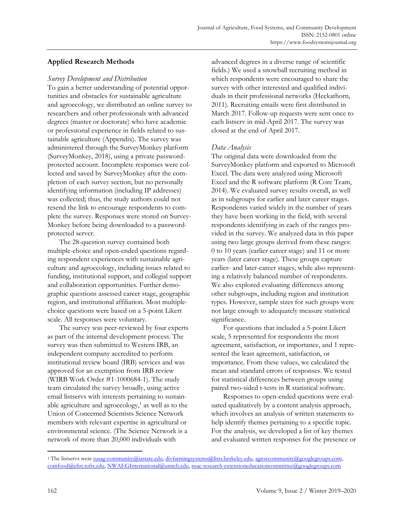# **Applied Research Methods**

### *Survey Development and Distribution*

To gain a better understanding of potential opportunities and obstacles for sustainable agriculture and agroecology, we distributed an online survey to researchers and other professionals with advanced degrees (master or doctorate) who have academic or professional experience in fields related to sustainable agriculture (Appendix). The survey was administered through the SurveyMonkey platform (SurveyMonkey, 2018), using a private passwordprotected account. Incomplete responses were collected and saved by SurveyMonkey after the completion of each survey section, but no personally identifying information (including IP addresses) was collected; thus, the study authors could not resend the link to encourage respondents to complete the survey. Responses were stored on Survey-Monkey before being downloaded to a passwordprotected server.

 The 28-question survey contained both multiple-choice and open-ended questions regarding respondent experiences with sustainable agriculture and agroecology, including issues related to funding, institutional support, and collegial support and collaboration opportunities. Further demographic questions assessed career stage, geographic region, and institutional affiliation. Most multiplechoice questions were based on a 5-point Likert scale. All responses were voluntary.

 The survey was peer-reviewed by four experts as part of the internal development process. The survey was then submitted to Western IRB, an independent company accredited to perform institutional review board (IRB) services and was approved for an exemption from IRB review (WIRB Work Order #1-1000684-1). The study team circulated the survey broadly, using active email listservs with interests pertaining to sustainable agriculture and agroecology, $<sup>1</sup>$  as well as to the</sup> Union of Concerned Scientists Science Network members with relevant expertise in agricultural or environmental science. (The Science Network is a network of more than 20,000 individuals with

advanced degrees in a diverse range of scientific fields.) We used a snowball recruiting method in which respondents were encouraged to share the survey with other interested and qualified individuals in their professional networks (Heckathorn, 2011). Recruiting emails were first distributed in March 2017. Follow-up requests were sent once to each listserv in mid-April 2017. The survey was closed at the end of April 2017.

# *Data Analysis*

The original data were downloaded from the SurveyMonkey platform and exported to Microsoft Excel. The data were analyzed using Microsoft Excel and the R software platform (R Core Team, 2014). We evaluated survey results overall, as well as in subgroups for earlier and later career stages. Respondents varied widely in the number of years they have been working in the field, with several respondents identifying in each of the ranges provided in the survey. We analyzed data in this paper using two large groups derived from these ranges: 0 to 10 years (earlier career stage) and 11 or more years (later career stage). These groups capture earlier- and later-career stages, while also representing a relatively balanced number of respondents. We also explored evaluating differences among other subgroups, including region and institution types. However, sample sizes for such groups were not large enough to adequately measure statistical significance.

 For questions that included a 5-point Likert scale, 5 represented for respondents the most agreement, satisfaction, or importance, and 1 represented the least agreement, satisfaction, or importance. From these values, we calculated the mean and standard errors of responses. We tested for statistical differences between groups using paired two-sided t-tests in R statistical software.

 Responses to open-ended questions were evaluated qualitatively by a content analysis approach, which involves an analysis of written statements to help identify themes pertaining to a specific topic. For the analysis, we developed a list of key themes and evaluated written responses for the presence or

<sup>&</sup>lt;sup>1</sup> The listservs were susag-community@iastate.edu, divfarmingsystems@lists.berkeley.edu, agroecommunity@googlegroups.com, comfood@elist.tufts.edu, NWAEGInternational@umich.edu, nsac-research-extensioneducationcommittee@googlegroups.com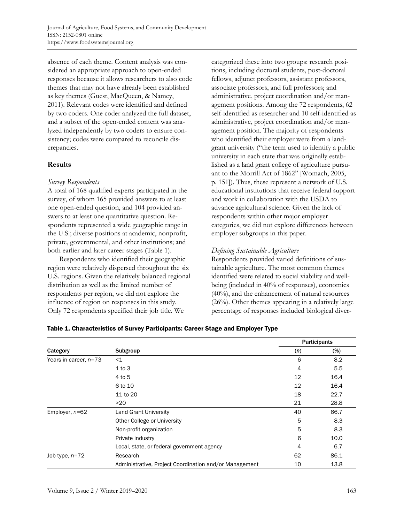absence of each theme. Content analysis was considered an appropriate approach to open-ended responses because it allows researchers to also code themes that may not have already been established as key themes (Guest, MacQueen, & Namey, 2011). Relevant codes were identified and defined by two coders. One coder analyzed the full dataset, and a subset of the open-ended content was analyzed independently by two coders to ensure consistency; codes were compared to reconcile discrepancies.

### **Results**

### *Survey Respondents*

A total of 168 qualified experts participated in the survey, of whom 165 provided answers to at least one open-ended question, and 104 provided answers to at least one quantitative question. Respondents represented a wide geographic range in the U.S.; diverse positions at academic, nonprofit, private, governmental, and other institutions; and both earlier and later career stages (Table 1).

 Respondents who identified their geographic region were relatively dispersed throughout the six U.S. regions. Given the relatively balanced regional distribution as well as the limited number of respondents per region, we did not explore the influence of region on responses in this study. Only 72 respondents specified their job title. We

categorized these into two groups: research positions, including doctoral students, post-doctoral fellows, adjunct professors, assistant professors, associate professors, and full professors; and administrative, project coordination and/or management positions. Among the 72 respondents, 62 self-identified as researcher and 10 self-identified as administrative, project coordination and/or management position. The majority of respondents who identified their employer were from a landgrant university ("the term used to identify a public university in each state that was originally established as a land grant college of agriculture pursuant to the Morrill Act of 1862" [Womach, 2005, p. 151]). Thus, these represent a network of U.S. educational institutions that receive federal support and work in collaboration with the USDA to advance agricultural science. Given the lack of respondents within other major employer categories, we did not explore differences between employer subgroups in this paper.

# *Defining Sustainable Agriculture*

Respondents provided varied definitions of sustainable agriculture. The most common themes identified were related to social viability and wellbeing (included in 40% of responses), economics (40%), and the enhancement of natural resources (26%). Other themes appearing in a relatively large percentage of responses included biological diver-

|                       |                                                        |     | <b>Participants</b> |
|-----------------------|--------------------------------------------------------|-----|---------------------|
| Category              | Subgroup                                               | (n) | $(\%)$              |
| Years in career, n=73 | $<$ 1                                                  | 6   | 8.2                 |
|                       | $1$ to $3$                                             | 4   | 5.5                 |
|                       | 4 to 5                                                 | 12  | 16.4                |
|                       | 6 to 10                                                | 12  | 16.4                |
|                       | 11 to 20                                               | 18  | 22.7                |
|                       | >20                                                    | 21  | 28.8                |
| Employer, $n=62$      | <b>Land Grant University</b>                           | 40  | 66.7                |
|                       | Other College or University                            | 5   | 8.3                 |
|                       | Non-profit organization                                | 5   | 8.3                 |
|                       | Private industry                                       | 6   | 10.0                |
|                       | Local, state, or federal government agency             | 4   | 6.7                 |
| Job type, $n=72$      | Research                                               | 62  | 86.1                |
|                       | Administrative, Project Coordination and/or Management | 10  | 13.8                |

# Table 1. Characteristics of Survey Participants: Career Stage and Employer Type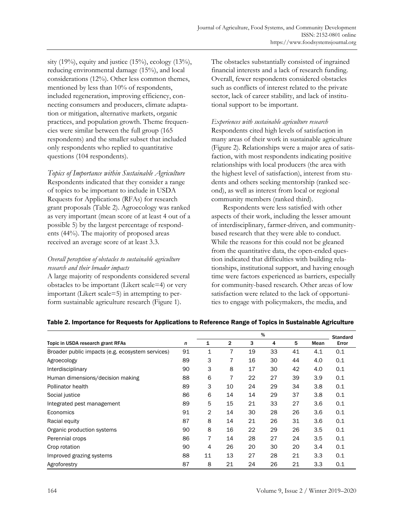sity (19%), equity and justice (15%), ecology (13%), reducing environmental damage (15%), and local considerations (12%). Other less common themes, mentioned by less than 10% of respondents, included regeneration, improving efficiency, connecting consumers and producers, climate adaptation or mitigation, alternative markets, organic practices, and population growth. Theme frequencies were similar between the full group (165 respondents) and the smaller subset that included only respondents who replied to quantitative questions (104 respondents).

*Topics of Importance within Sustainable Agriculture*  Respondents indicated that they consider a range of topics to be important to include in USDA Requests for Applications (RFAs) for research grant proposals (Table 2). Agroecology was ranked as very important (mean score of at least 4 out of a possible 5) by the largest percentage of respondents (44%). The majority of proposed areas received an average score of at least 3.3.

# *Overall perception of obstacles to sustainable agriculture research and their broader impacts*

A large majority of respondents considered several obstacles to be important (Likert scale=4) or very important (Likert scale=5) in attempting to perform sustainable agriculture research (Figure 1).

The obstacles substantially consisted of ingrained financial interests and a lack of research funding. Overall, fewer respondents considered obstacles such as conflicts of interest related to the private sector, lack of career stability, and lack of institutional support to be important.

*Experiences with sustainable agriculture research*  Respondents cited high levels of satisfaction in many areas of their work in sustainable agriculture (Figure 2). Relationships were a major area of satisfaction, with most respondents indicating positive relationships with local producers (the area with the highest level of satisfaction), interest from students and others seeking mentorship (ranked second), as well as interest from local or regional community members (ranked third).

 Respondents were less satisfied with other aspects of their work, including the lesser amount of interdisciplinary, farmer-driven, and communitybased research that they were able to conduct. While the reasons for this could not be gleaned from the quantitative data, the open-ended question indicated that difficulties with building relationships, institutional support, and having enough time were factors experienced as barriers, especially for community-based research. Other areas of low satisfaction were related to the lack of opportunities to engage with policymakers, the media, and

|                                                  |    |    | %  |    |    |    |      | <b>Standard</b> |
|--------------------------------------------------|----|----|----|----|----|----|------|-----------------|
| Topic in USDA research grant RFAs                | n  | 1  | 2  | 3  | 4  | 5  | Mean | Error           |
| Broader public impacts (e.g. ecosystem services) | 91 | 1  | 7  | 19 | 33 | 41 | 4.1  | 0.1             |
| Agroecology                                      | 89 | 3  | 7  | 16 | 30 | 44 | 4.0  | 0.1             |
| Interdisciplinary                                | 90 | 3  | 8  | 17 | 30 | 42 | 4.0  | 0.1             |
| Human dimensions/decision making                 | 88 | 6  | 7  | 22 | 27 | 39 | 3.9  | 0.1             |
| Pollinator health                                | 89 | 3  | 10 | 24 | 29 | 34 | 3.8  | 0.1             |
| Social justice                                   | 86 | 6  | 14 | 14 | 29 | 37 | 3.8  | 0.1             |
| Integrated pest management                       | 89 | 5  | 15 | 21 | 33 | 27 | 3.6  | 0.1             |
| Economics                                        | 91 | 2  | 14 | 30 | 28 | 26 | 3.6  | 0.1             |
| Racial equity                                    | 87 | 8  | 14 | 21 | 26 | 31 | 3.6  | 0.1             |
| Organic production systems                       | 90 | 8  | 16 | 22 | 29 | 26 | 3.5  | 0.1             |
| Perennial crops                                  | 86 | 7  | 14 | 28 | 27 | 24 | 3.5  | 0.1             |
| Crop rotation                                    | 90 | 4  | 26 | 20 | 30 | 20 | 3.4  | 0.1             |
| Improved grazing systems                         | 88 | 11 | 13 | 27 | 28 | 21 | 3.3  | 0.1             |
| Agroforestry                                     | 87 | 8  | 21 | 24 | 26 | 21 | 3.3  | 0.1             |

# Table 2. Importance for Requests for Applications to Reference Range of Topics in Sustainable Agriculture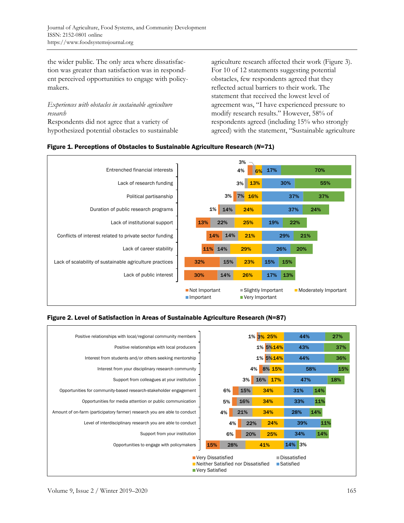the wider public. The only area where dissatisfaction was greater than satisfaction was in respondent perceived opportunities to engage with policymakers.

*Experiences with obstacles in sustainable agriculture research* 

Respondents did not agree that a variety of hypothesized potential obstacles to sustainable agriculture research affected their work (Figure 3). For 10 of 12 statements suggesting potential obstacles, few respondents agreed that they reflected actual barriers to their work. The statement that received the lowest level of agreement was, "I have experienced pressure to modify research results." However, 58% of respondents agreed (including 15% who strongly agreed) with the statement, "Sustainable agriculture





# Figure 2. Level of Satisfaction in Areas of Sustainable Agriculture Research (N=87)

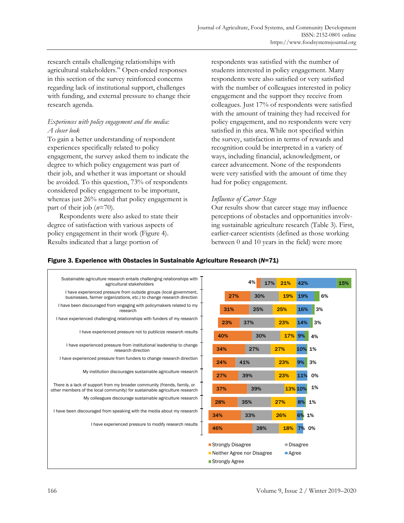research entails challenging relationships with agricultural stakeholders." Open-ended responses in this section of the survey reinforced concerns regarding lack of institutional support, challenges with funding, and external pressure to change their research agenda.

# *Experiences with policy engagement and the media: A closer look*

To gain a better understanding of respondent experiences specifically related to policy engagement, the survey asked them to indicate the degree to which policy engagement was part of their job, and whether it was important or should be avoided. To this question, 73% of respondents considered policy engagement to be important, whereas just 26% stated that policy engagement is part of their job (*n*=70).

 Respondents were also asked to state their degree of satisfaction with various aspects of policy engagement in their work (Figure 4). Results indicated that a large portion of

respondents was satisfied with the number of students interested in policy engagement. Many respondents were also satisfied or very satisfied with the number of colleagues interested in policy engagement and the support they receive from colleagues. Just 17% of respondents were satisfied with the amount of training they had received for policy engagement, and no respondents were very satisfied in this area. While not specified within the survey, satisfaction in terms of rewards and recognition could be interpreted in a variety of ways, including financial, acknowledgment, or career advancement. None of the respondents were very satisfied with the amount of time they had for policy engagement.

# *Influence of Career Stage*

Our results show that career stage may influence perceptions of obstacles and opportunities involving sustainable agriculture research (Table 3). First, earlier-career scientists (defined as those working between 0 and 10 years in the field) were more

### Figure 3. Experience with Obstacles in Sustainable Agriculture Research (*N*=71)

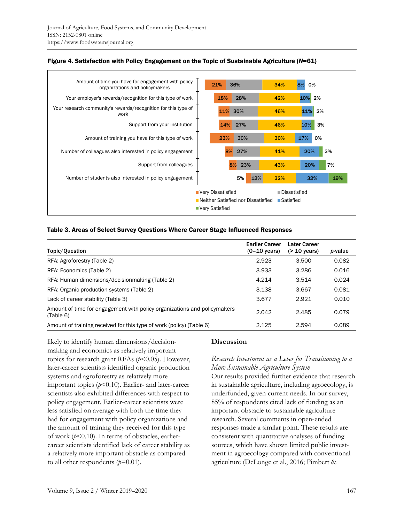

#### Figure 4. Satisfaction with Policy Engagement on the Topic of Sustainable Agriculture (*N*=61)

#### Table 3. Areas of Select Survey Questions Where Career Stage Influenced Responses

| Topic/Question                                                                        | <b>Earlier Career</b><br>$(0-10 \text{ years})$ | <b>Later Career</b><br>$($ 20 years) | <i>p</i> -value |
|---------------------------------------------------------------------------------------|-------------------------------------------------|--------------------------------------|-----------------|
| RFA: Agroforestry (Table 2)                                                           | 2.923                                           | 3.500                                | 0.082           |
| RFA: Economics (Table 2)                                                              | 3.933                                           | 3.286                                | 0.016           |
| RFA: Human dimensions/decision making (Table 2)                                       | 4.214                                           | 3.514                                | 0.024           |
| RFA: Organic production systems (Table 2)                                             | 3.138                                           | 3.667                                | 0.081           |
| Lack of career stability (Table 3)                                                    | 3.677                                           | 2.921                                | 0.010           |
| Amount of time for engagement with policy organizations and policymakers<br>(Table 6) | 2.042                                           | 2.485                                | 0.079           |
| Amount of training received for this type of work (policy) (Table 6)                  | 2.125                                           | 2.594                                | 0.089           |

likely to identify human dimensions/decisionmaking and economics as relatively important topics for research grant RFAs ( $p$ <0.05). However, later-career scientists identified organic production systems and agroforestry as relatively more important topics (*p*<0.10). Earlier- and later-career scientists also exhibited differences with respect to policy engagement. Earlier-career scientists were less satisfied on average with both the time they had for engagement with policy organizations and the amount of training they received for this type of work (*p*<0.10). In terms of obstacles, earliercareer scientists identified lack of career stability as a relatively more important obstacle as compared to all other respondents  $(p=0.01)$ .

#### **Discussion**

# *Research Investment as a Lever for Transitioning to a More Sustainable Agriculture System*

Our results provided further evidence that research in sustainable agriculture, including agroecology, is underfunded, given current needs. In our survey, 85% of respondents cited lack of funding as an important obstacle to sustainable agriculture research. Several comments in open-ended responses made a similar point. These results are consistent with quantitative analyses of funding sources, which have shown limited public investment in agroecology compared with conventional agriculture (DeLonge et al., 2016; Pimbert &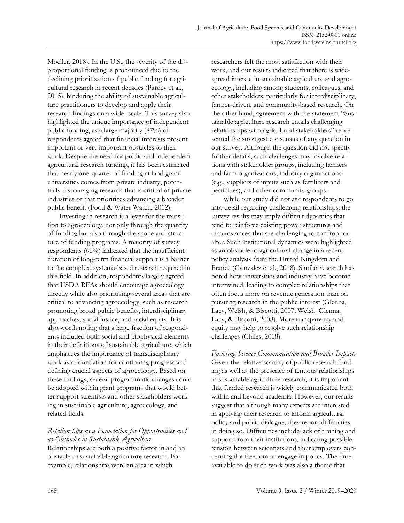Moeller, 2018). In the U.S., the severity of the disproportional funding is pronounced due to the declining prioritization of public funding for agricultural research in recent decades (Pardey et al., 2015), hindering the ability of sustainable agriculture practitioners to develop and apply their research findings on a wider scale. This survey also highlighted the unique importance of independent public funding, as a large majority (87%) of respondents agreed that financial interests present important or very important obstacles to their work. Despite the need for public and independent agricultural research funding, it has been estimated that nearly one-quarter of funding at land grant universities comes from private industry, potentially discouraging research that is critical of private industries or that prioritizes advancing a broader public benefit (Food & Water Watch, 2012).

 Investing in research is a lever for the transition to agroecology, not only through the quantity of funding but also through the scope and structure of funding programs. A majority of survey respondents (61%) indicated that the insufficient duration of long-term financial support is a barrier to the complex, systems-based research required in this field. In addition, respondents largely agreed that USDA RFAs should encourage agroecology directly while also prioritizing several areas that are critical to advancing agroecology, such as research promoting broad public benefits, interdisciplinary approaches, social justice, and racial equity. It is also worth noting that a large fraction of respondents included both social and biophysical elements in their definitions of sustainable agriculture, which emphasizes the importance of transdisciplinary work as a foundation for continuing progress and defining crucial aspects of agroecology. Based on these findings, several programmatic changes could be adopted within grant programs that would better support scientists and other stakeholders working in sustainable agriculture, agroecology, and related fields.

# *Relationships as a Foundation for Opportunities and as Obstacles in Sustainable Agriculture*

Relationships are both a positive factor in and an obstacle to sustainable agriculture research. For example, relationships were an area in which

researchers felt the most satisfaction with their work, and our results indicated that there is widespread interest in sustainable agriculture and agroecology, including among students, colleagues, and other stakeholders, particularly for interdisciplinary, farmer-driven, and community-based research. On the other hand, agreement with the statement "Sustainable agriculture research entails challenging relationships with agricultural stakeholders" represented the strongest consensus of any question in our survey. Although the question did not specify further details, such challenges may involve relations with stakeholder groups, including farmers and farm organizations, industry organizations (e.g., suppliers of inputs such as fertilizers and pesticides), and other community groups.

 While our study did not ask respondents to go into detail regarding challenging relationships, the survey results may imply difficult dynamics that tend to reinforce existing power structures and circumstances that are challenging to confront or alter. Such institutional dynamics were highlighted as an obstacle to agricultural change in a recent policy analysis from the United Kingdom and France (Gonzalez et al., 2018). Similar research has noted how universities and industry have become intertwined, leading to complex relationships that often focus more on revenue generation than on pursuing research in the public interest (Glenna, Lacy, Welsh, & Biscotti, 2007; Welsh. Glenna, Lacy, & Biscotti, 2008). More transparency and equity may help to resolve such relationship challenges (Chiles, 2018).

*Fostering Science Communication and Broader Impacts*  Given the relative scarcity of public research funding as well as the presence of tenuous relationships in sustainable agriculture research, it is important that funded research is widely communicated both within and beyond academia. However, our results suggest that although many experts are interested in applying their research to inform agricultural policy and public dialogue, they report difficulties in doing so. Difficulties include lack of training and support from their institutions, indicating possible tension between scientists and their employers concerning the freedom to engage in policy. The time available to do such work was also a theme that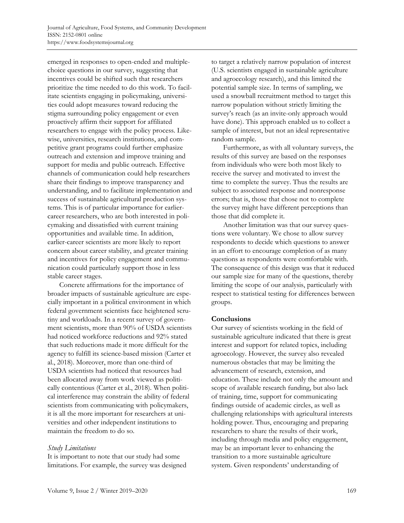emerged in responses to open-ended and multiplechoice questions in our survey, suggesting that incentives could be shifted such that researchers prioritize the time needed to do this work. To facilitate scientists engaging in policymaking, universities could adopt measures toward reducing the stigma surrounding policy engagement or even proactively affirm their support for affiliated researchers to engage with the policy process. Likewise, universities, research institutions, and competitive grant programs could further emphasize outreach and extension and improve training and support for media and public outreach. Effective channels of communication could help researchers share their findings to improve transparency and understanding, and to facilitate implementation and success of sustainable agricultural production systems. This is of particular importance for earliercareer researchers, who are both interested in policymaking and dissatisfied with current training opportunities and available time. In addition, earlier-career scientists are more likely to report concern about career stability, and greater training and incentives for policy engagement and communication could particularly support those in less stable career stages.

 Concrete affirmations for the importance of broader impacts of sustainable agriculture are especially important in a political environment in which federal government scientists face heightened scrutiny and workloads. In a recent survey of government scientists, more than 90% of USDA scientists had noticed workforce reductions and 92% stated that such reductions made it more difficult for the agency to fulfill its science-based mission (Carter et al., 2018). Moreover, more than one-third of USDA scientists had noticed that resources had been allocated away from work viewed as politically contentious (Carter et al., 2018). When political interference may constrain the ability of federal scientists from communicating with policymakers, it is all the more important for researchers at universities and other independent institutions to maintain the freedom to do so.

# *Study Limitations*

It is important to note that our study had some limitations. For example, the survey was designed to target a relatively narrow population of interest (U.S. scientists engaged in sustainable agriculture and agroecology research), and this limited the potential sample size. In terms of sampling, we used a snowball recruitment method to target this narrow population without strictly limiting the survey's reach (as an invite-only approach would have done). This approach enabled us to collect a sample of interest, but not an ideal representative random sample.

 Furthermore, as with all voluntary surveys, the results of this survey are based on the responses from individuals who were both most likely to receive the survey and motivated to invest the time to complete the survey. Thus the results are subject to associated response and nonresponse errors; that is, those that chose not to complete the survey might have different perceptions than those that did complete it.

 Another limitation was that our survey questions were voluntary. We chose to allow survey respondents to decide which questions to answer in an effort to encourage completion of as many questions as respondents were comfortable with. The consequence of this design was that it reduced our sample size for many of the questions, thereby limiting the scope of our analysis, particularly with respect to statistical testing for differences between groups.

#### **Conclusions**

Our survey of scientists working in the field of sustainable agriculture indicated that there is great interest and support for related topics, including agroecology. However, the survey also revealed numerous obstacles that may be limiting the advancement of research, extension, and education. These include not only the amount and scope of available research funding, but also lack of training, time, support for communicating findings outside of academic circles, as well as challenging relationships with agricultural interests holding power. Thus, encouraging and preparing researchers to share the results of their work, including through media and policy engagement, may be an important lever to enhancing the transition to a more sustainable agriculture system. Given respondents' understanding of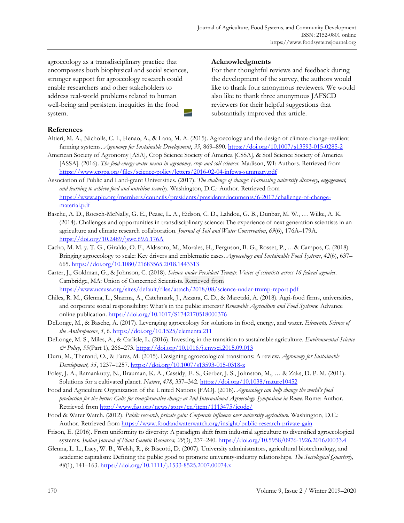agroecology as a transdisciplinary practice that encompasses both biophysical and social sciences, stronger support for agroecology research could enable researchers and other stakeholders to address real-world problems related to human well-being and persistent inequities in the food system.

### **Acknowledgments**

For their thoughtful reviews and feedback during the development of the survey, the authors would like to thank four anonymous reviewers. We would also like to thank three anonymous JAFSCD reviewers for their helpful suggestions that substantially improved this article.

# **References**

- Altieri, M. A., Nicholls, C. I., Henao, A., & Lana, M. A. (2015). Agroecology and the design of climate change-resilient farming systems. *Agronomy for Sustainable Development*, *35*, 869–890. https://doi.org/10.1007/s13593-015-0285-2
- American Society of Agronomy [ASA], Crop Science Society of America [CSSA], & Soil Science Society of America [ASSA]. (2016). *The food-energy-water nexus in agronomy, crop and soil sciences*. Madison, WI: Authors. Retrieved from https://www.crops.org/files/science-policy/letters/2016-02-04-infews-summary.pdf
- Association of Public and Land-grant Universities. (2017). *The challenge of change: Harnessing university discovery, engagement, and learning to achieve food and nutrition security*. Washington, D.C.: Author. Retrieved from [https://www.aplu.org/members/councils/presidents/presidentsdocuments/6-2017/challenge-of-change](https://www.aplu.org/members/councils/presidents/presidentsdocuments/6-2017/challenge-of-change-material.pdf)material.pdf
- Basche, A. D., Roesch-McNally, G. E., Pease, L. A., Eidson, C. D., Lahdou, G. B., Dunbar, M. W., … Wilke, A. K. (2014). Challenges and opportunities in transdisciplinary science: The experience of next generation scientists in an agriculture and climate research collaboration. *Journal of Soil and Water Conservation*, *69*(6), 176A–179A. https://doi.org/10.2489/jswc.69.6.176A
- Cacho, M. M. y. T. G., Giraldo, O. F., Aldasoro, M., Morales, H., Ferguson, B. G., Rosset, P., …& Campos, C. (2018). Bringing agroecology to scale: Key drivers and emblematic cases. *Agroecology and Sustainable Food Systems*, *42*(6), 637– 665. https://doi.org/10.1080/21683565.2018.1443313
- Carter, J., Goldman, G., & Johnson, C. (2018). *Science under President Trump: Voices of scientists across 16 federal agencies*. Cambridge, MA: Union of Concerned Scientists. Retrieved from https://www.ucsusa.org/sites/default/files/attach/2018/08/science-under-trump-report.pdf
- Chiles, R. M., Glenna, L., Sharma, A., Catchmark, J., Azzara, C. D., & Maretzki, A. (2018). Agri-food firms, universities, and corporate social responsibility: What's in the public interest? *Renewable Agriculture and Food System***s**. Advance online publication. https://doi.org/10.1017/S1742170518000376
- DeLonge, M., & Basche, A. (2017). Leveraging agroecology for solutions in food, energy, and water. *Elementa, Science of the Anthropocene*, *5*, 6. https://doi.org/10.1525/elementa.211
- DeLonge, M. S., Miles, A., & Carlisle, L. (2016). Investing in the transition to sustainable agriculture. *Environmental Science & Policy*, *55*(Part 1), 266–273. https://doi.org/10.1016/j.envsci.2015.09.013
- Duru, M., Therond, O., & Fares, M. (2015). Designing agroecological transitions: A review. *Agronomy for Sustainable Development, 35*, 1237–1257. https://doi.org/10.1007/s13593-015-0318-x
- Foley, J. A., Ramankutty, N., Brauman, K. A., Cassidy, E. S., Gerber, J. S., Johnston, M., … & Zaks, D. P. M. (2011). Solutions for a cultivated planet. *Nature*, *478*, 337–342. https://doi.org/10.1038/nature10452
- Food and Agriculture Organization of the United Nations [FAO]. (2018). *Agroecology can help change the world's food production for the better: Calls for transformative change at 2nd International Agroecology Symposium in Rome.* Rome: Author. Retrieved from http://www.fao.org/news/story/en/item/1113475/icode/
- Food & Water Watch. (2012). *Public research, private gain: Corporate influence over university agriculture.* Washington, D.C.: Author. Retrieved from https://www.foodandwaterwatch.org/insight/public-research-private-gain
- Frison, E. (2016). From uniformity to diversity: A paradigm shift from industrial agriculture to diversified agroecological systems*. Indian Journal of Plant Genetic Resources, 29*(3), 237–240. https://doi.org/10.5958/0976-1926.2016.00033.4
- Glenna, L. L., Lacy, W. B., Welsh, R., & Biscotti, D. (2007). University administrators, agricultural biotechnology, and academic capitalism: Defining the public good to promote university-industry relationships. *The Sociological Quarterly, 48*(1), 141–163. https://doi.org/10.1111/j.1533-8525.2007.00074.x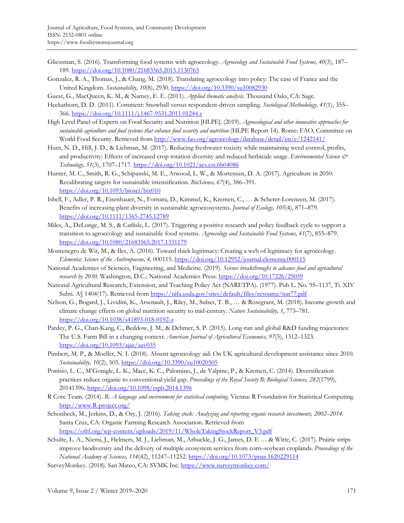- Gliessman, S. (2016). Transforming food systems with agroecology. *Agroecology and Sustainable Food Systems, 40*(3), 187– 189. https://doi.org/10.1080/21683565.2015.1130765
- Gonzalez, R. A., Thomas, J., & Chang, M. (2018). Translating agroecology into policy: The case of France and the United Kingdom. *Sustainability, 10*(8), 2930. https://doi.org/10.3390/su10082930
- Guest, G., MacQueen, K. M., & Namey, E. E. (2011). *Applied thematic analysis*. Thousand Oaks, CA: Sage.
- Heckathorn, D. D. (2011). Comment: Snowball versus respondent-driven sampling. *Sociological Methodology, 41*(1), 355– 366. https://doi.org/10.1111/j.1467-9531.2011.01244.x
- High Level Panel of Experts on Food Security and Nutrition [HLPE]. (2019). *Agroecological and other innovative approaches for sustainable agriculture and food systems that enhance food security and nutrition* (HLPE Report 14)*.* Rome: FAO, Committee on World Food Security. Retrieved from http://www.fao.org/agroecology/database/detail/en/c/1242141/
- Hunt, N. D., Hill, J. D., & Liebman, M. (2017). Reducing freshwater toxicity while maintaining weed control, profits, and productivity: Effects of increased crop rotation diversity and reduced herbicide usage. *Environmental Science & Technology, 51*(3), 1707–1717. https://doi.org/10.1021/acs.est.6b04086
- Hunter, M. C., Smith, R. G., Schipanski, M. E., Atwood, L. W., & Mortensen, D. A. (2017). Agriculture in 2050: Recalibrating targets for sustainable intensification. *BioScience, 67*(4), 386–391. https://doi.org/10.1093/biosci/bix010
- Isbell, F., Adler, P. R., Eisenhauer, N., Fornara, D., Kimmel, K., Kremen, C., … & Scherer-Lorenzen, M. (2017). Benefits of increasing plant diversity in sustainable agroecosystems. *Journal of Ecology, 105*(4), 871–879. https://doi.org/10.1111/1365-2745.12789
- Miles, A., DeLonge, M. S., & Carlisle, L. (2017). Triggering a positive research and policy feedback cycle to support a transition to agroecology and sustainable food systems. *Agroecology and Sustainable Food Systems, 41*(7), 855–879. https://doi.org/10.1080/21683565.2017.1331179
- Montenegro de Wit, M., & Iles, A. (2016). Toward thick legitimacy: Creating a web of legitimacy for agroecology. *Elementa: Science of the Anthropocene, 4,* 000115. https://doi.org/10.12952/journal.elementa.000115
- National Academies of Sciences, Engineering, and Medicine. (2019). *Science breakthroughs to advance food and agricultural research by 2030*. Washington, D.C.: National Academies Press. https://doi.org/10.17226/25059
- National Agricultural Research, Extension, and Teaching Policy Act (NARETPA). (1977). Pub L. No. 95–1137, Ti. XIV Subti. A§ 1404(17). Retrieved from https://nifa.usda.gov/sites/default/files/resource/nar77.pdf
- Nelson, G., Bogard, J., Lividini, K., Arsenault, J., Riley, M., Sulser, T. B., … & Rosegrant, M. (2018). Income growth and climate change effects on global nutrition security to mid-century. *Nature Sustainability, 1*, 773–781. https://doi.org/10.1038/s41893-018-0192-z
- Pardey, P. G., Chan-Kang, C., Beddow, J. M., & Dehmer, S. P. (2015). Long-run and global R&D funding trajectories: The U.S. Farm Bill in a changing context. *American Journal of Agricultural Economics, 97*(5), 1312–1323. https://doi.org/10.1093/ajae/aav035
- Pimbert, M. P., & Moeller, N. I. (2018). Absent agroecology aid: On UK agricultural development assistance since 2010. *Sustainability, 10*(2), 505. https://doi.org/10.3390/su10020505
- Ponisio, L. C., M'Gonigle, L. K., Mace, K. C., Palomino, J., de Valpine, P., & Kremen, C. (2014). Diversification practices reduce organic to conventional yield gap. *Proceedings of the Royal Society B: Biological Sciences, 282*(1799), 20141396. https://doi.org/10.1098/rspb.2014.1396
- R Core Team. (2014). *R: A language and environment for statistical computing*. Vienna: R Foundation for Statistical Computing. http://www.R-project.org/
- Schonbeck, M., Jerkins, D., & Ory, J. (2016). *Taking stock: Analyzing and reporting organic research investments, 2002–2014*. Santa Cruz, CA: Organic Farming Research Association. Retrieved from https://ofrf.org/wp-content/uploads/2019/11/WholeTakingStockReport\_V3.pdf
- Schulte, L. A., Niemi, J., Helmers, M. J., Liebman, M., Arbuckle, J. G., James, D. E … & Witte, C. (2017). Prairie strips improve biodiversity and the delivery of multiple ecosystem services from corn–soybean croplands. *Proceedings of the National Academy of Sciences, 114*(42), 11247–11252. https://doi.org/10.1073/pnas.1620229114
- SurveyMonkey. (2018). San Mateo, CA: SVMK Inc. https://www.surveymonkey.com/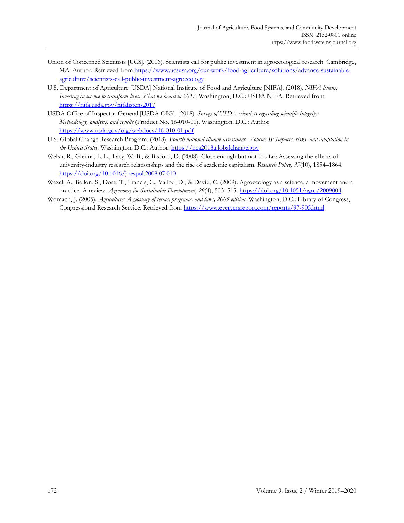- Union of Concerned Scientists [UCS]. (2016). Scientists call for public investment in agroecological research. Cambridge, [MA: Author. Retrieved from https://www.ucsusa.org/our-work/food-agriculture/solutions/advance-sustainable](https://www.ucsusa.org/our-work/food-agriculture/solutions/advance-sustainable-agriculture/scientists-call-public-investment-agroecology)agriculture/scientists-call-public-investment-agroecology
- U.S. Department of Agriculture [USDA] National Institute of Food and Agriculture [NIFA]. (2018). *NIFA listens: Investing in science to transform lives. What we heard in 2017*. Washington, D.C.: USDA NIFA. Retrieved from https://nifa.usda.gov/nifalistens2017
- USDA Office of Inspector General [USDA OIG]. (2018). *Survey of USDA scientists regarding scientific integrity: Methodology, analysis, and results* (Product No. 16-010-01). Washington, D.C.: Author. https://www.usda.gov/oig/webdocs/16-010-01.pdf
- U.S. Global Change Research Program. (2018). *Fourth national climate assessment. Volume II: Impacts, risks, and adaptation in the United States.* Washington, D.C.: Author. https://nca2018.globalchange.gov
- Welsh, R., Glenna, L. L., Lacy, W. B., & Biscotti, D. (2008). Close enough but not too far: Assessing the effects of university-industry research relationships and the rise of academic capitalism. *Research Policy, 37*(10), 1854–1864. https://doi.org/10.1016/j.respol.2008.07.010
- Wezel, A., Bellon, S., Doré, T., Francis, C., Vallod, D., & David, C. (2009). Agroecology as a science, a movement and a practice. A review. *Agronomy for Sustainable Development, 29*(4), 503–515. https://doi.org/10.1051/agro/2009004
- Womach, J. (2005). *Agriculture: A glossary of terms, programs, and laws, 2005 edition.* Washington, D.C.: Library of Congress, Congressional Research Service. Retrieved from https://www.everycrsreport.com/reports/97-905.html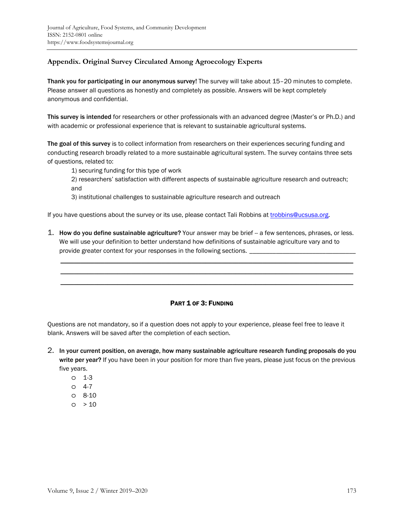# **Appendix. Original Survey Circulated Among Agroecology Experts**

Thank you for participating in our anonymous survey! The survey will take about 15–20 minutes to complete. Please answer all questions as honestly and completely as possible. Answers will be kept completely anonymous and confidential.

This survey is intended for researchers or other professionals with an advanced degree (Master's or Ph.D.) and with academic or professional experience that is relevant to sustainable agricultural systems.

The goal of this survey is to collect information from researchers on their experiences securing funding and conducting research broadly related to a more sustainable agricultural system. The survey contains three sets of questions, related to:

1) securing funding for this type of work

2) researchers' satisfaction with different aspects of sustainable agriculture research and outreach; and

3) institutional challenges to sustainable agriculture research and outreach

If you have questions about the survey or its use, please contact Tali Robbins at trobbins@ucsusa.org.

1. How do you define sustainable agriculture? Your answer may be brief -- a few sentences, phrases, or less. We will use your definition to better understand how definitions of sustainable agriculture vary and to provide greater context for your responses in the following sections. \_

 \_\_\_\_\_\_\_\_\_\_\_\_\_\_\_\_\_\_\_\_\_\_\_\_\_\_\_\_\_\_\_\_\_\_\_\_\_\_\_\_\_\_\_\_\_\_\_\_\_\_\_\_\_\_\_\_\_\_\_\_\_\_\_\_\_\_\_\_\_\_\_\_\_\_\_\_\_\_\_\_\_\_\_\_\_\_\_ \_\_\_\_\_\_\_\_\_\_\_\_\_\_\_\_\_\_\_\_\_\_\_\_\_\_\_\_\_\_\_\_\_\_\_\_\_\_\_\_\_\_\_\_\_\_\_\_\_\_\_\_\_\_\_\_\_\_\_\_\_\_\_\_\_\_\_\_\_\_\_\_\_\_\_\_\_\_\_\_\_\_\_\_\_\_\_ \_\_\_\_\_\_\_\_\_\_\_\_\_\_\_\_\_\_\_\_\_\_\_\_\_\_\_\_\_\_\_\_\_\_\_\_\_\_\_\_\_\_\_\_\_\_\_\_\_\_\_\_\_\_\_\_\_\_\_\_\_\_\_\_\_\_\_\_\_\_\_\_\_\_\_\_\_\_\_\_\_\_\_\_\_\_\_

# PART 1 OF 3: FUNDING

Questions are not mandatory, so if a question does not apply to your experience, please feel free to leave it blank. Answers will be saved after the completion of each section.

- 2. In your current position, on average, how many sustainable agriculture research funding proposals do you write per year? If you have been in your position for more than five years, please just focus on the previous five years.
	- o 1-3
	- o 4-7
	- o 8-10
	- $0 > 10$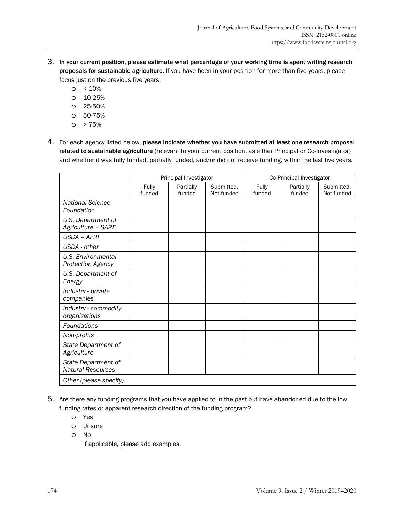- 3. In your current position, please estimate what percentage of your working time is spent writing research proposals for sustainable agriculture. If you have been in your position for more than five years, please focus just on the previous five years.
	- $\circ$  < 10%
	- o 10-25%
	- o 25-50%
	- o 50-75%
	- $O > 75%$
- 4. For each agency listed below, please indicate whether you have submitted at least one research proposal related to sustainable agriculture (relevant to your current position, as either Principal or Co-Investigator) and whether it was fully funded, partially funded, and/or did not receive funding, within the last five years.

|                                                 | Principal Investigator |                     | Co-Principal Investigator |                 |                     |                          |
|-------------------------------------------------|------------------------|---------------------|---------------------------|-----------------|---------------------|--------------------------|
|                                                 | Fully<br>funded        | Partially<br>funded | Submitted,<br>Not funded  | Fully<br>funded | Partially<br>funded | Submitted,<br>Not funded |
| <b>National Science</b><br>Foundation           |                        |                     |                           |                 |                     |                          |
| U.S. Department of<br>Agriculture - SARE        |                        |                     |                           |                 |                     |                          |
| <b>USDA - AFRI</b>                              |                        |                     |                           |                 |                     |                          |
| USDA - other                                    |                        |                     |                           |                 |                     |                          |
| <b>U.S. Environmental</b><br>Protection Agency  |                        |                     |                           |                 |                     |                          |
| U.S. Department of<br>Energy                    |                        |                     |                           |                 |                     |                          |
| Industry - private<br>companies                 |                        |                     |                           |                 |                     |                          |
| Industry - commodity<br>organizations           |                        |                     |                           |                 |                     |                          |
| Foundations                                     |                        |                     |                           |                 |                     |                          |
| Non-profits                                     |                        |                     |                           |                 |                     |                          |
| State Department of<br>Agriculture              |                        |                     |                           |                 |                     |                          |
| State Department of<br><b>Natural Resources</b> |                        |                     |                           |                 |                     |                          |
| Other (please specify).                         |                        |                     |                           |                 |                     |                          |

- 5. Are there any funding programs that you have applied to in the past but have abandoned due to the low funding rates or apparent research direction of the funding program?
	- o Yes
	- o Unsure
	- o No

If applicable, please add examples.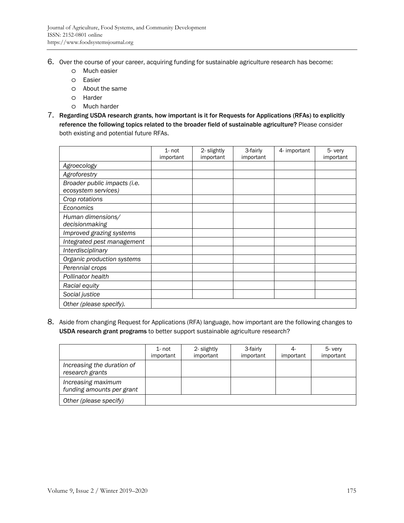- 6. Over the course of your career, acquiring funding for sustainable agriculture research has become:
	- o Much easier
	- o Easier
	- o About the same
	- o Harder
	- o Much harder
- 7. Regarding USDA research grants, how important is it for Requests for Applications (RFAs) to explicitly reference the following topics related to the broader field of sustainable agriculture? Please consider both existing and potential future RFAs.

|                                                     | $1 - not$<br>important | 2- slightly<br>important | 3-fairly<br>important | 4- important | 5- very<br>important |
|-----------------------------------------------------|------------------------|--------------------------|-----------------------|--------------|----------------------|
| Agroecology                                         |                        |                          |                       |              |                      |
| Agroforestry                                        |                        |                          |                       |              |                      |
| Broader public impacts (i.e.<br>ecosystem services) |                        |                          |                       |              |                      |
| Crop rotations                                      |                        |                          |                       |              |                      |
| Economics                                           |                        |                          |                       |              |                      |
| Human dimensions/<br>decisionmaking                 |                        |                          |                       |              |                      |
| Improved grazing systems                            |                        |                          |                       |              |                      |
| Integrated pest management                          |                        |                          |                       |              |                      |
| Interdisciplinary                                   |                        |                          |                       |              |                      |
| Organic production systems                          |                        |                          |                       |              |                      |
| Perennial crops                                     |                        |                          |                       |              |                      |
| Pollinator health                                   |                        |                          |                       |              |                      |
| Racial equity                                       |                        |                          |                       |              |                      |
| Social justice                                      |                        |                          |                       |              |                      |
| Other (please specify).                             |                        |                          |                       |              |                      |

8. Aside from changing Request for Applications (RFA) language, how important are the following changes to USDA research grant programs to better support sustainable agriculture research?

|                                                 | $1 - not$<br>important | 2- slightly<br>important | 3-fairly<br>important | important | 5- very<br>important |
|-------------------------------------------------|------------------------|--------------------------|-----------------------|-----------|----------------------|
| Increasing the duration of<br>research grants   |                        |                          |                       |           |                      |
| Increasing maximum<br>funding amounts per grant |                        |                          |                       |           |                      |
| Other (please specify)                          |                        |                          |                       |           |                      |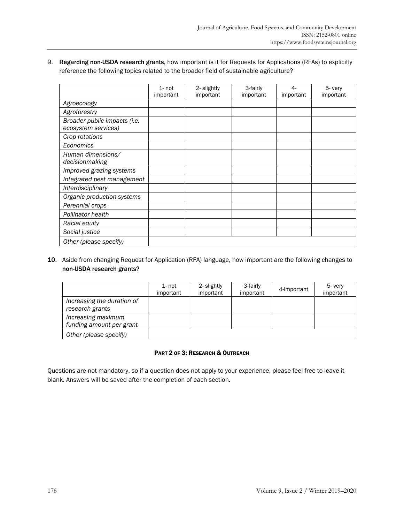# 9. Regarding non-USDA research grants, how important is it for Requests for Applications (RFAs) to explicitly reference the following topics related to the broader field of sustainable agriculture?

|                                                     | $1 - not$<br>important | 2- slightly<br>important | 3-fairly<br>important | 4-<br>important | 5- very<br>important |
|-----------------------------------------------------|------------------------|--------------------------|-----------------------|-----------------|----------------------|
| Agroecology                                         |                        |                          |                       |                 |                      |
| Agroforestry                                        |                        |                          |                       |                 |                      |
| Broader public impacts (i.e.<br>ecosystem services) |                        |                          |                       |                 |                      |
| Crop rotations                                      |                        |                          |                       |                 |                      |
| Economics                                           |                        |                          |                       |                 |                      |
| Human dimensions/<br>decisionmaking                 |                        |                          |                       |                 |                      |
| Improved grazing systems                            |                        |                          |                       |                 |                      |
| Integrated pest management                          |                        |                          |                       |                 |                      |
| Interdisciplinary                                   |                        |                          |                       |                 |                      |
| Organic production systems                          |                        |                          |                       |                 |                      |
| Perennial crops                                     |                        |                          |                       |                 |                      |
| Pollinator health                                   |                        |                          |                       |                 |                      |
| Racial equity                                       |                        |                          |                       |                 |                      |
| Social justice                                      |                        |                          |                       |                 |                      |
| Other (please specify)                              |                        |                          |                       |                 |                      |

### 10. Aside from changing Request for Application (RFA) language, how important are the following changes to non-USDA research grants?

|                                                | 1- not<br>important | 2- slightly<br>important | 3-fairly<br>important | 4-important | 5- very<br>important |
|------------------------------------------------|---------------------|--------------------------|-----------------------|-------------|----------------------|
| Increasing the duration of<br>research grants  |                     |                          |                       |             |                      |
| Increasing maximum<br>funding amount per grant |                     |                          |                       |             |                      |
| Other (please specify)                         |                     |                          |                       |             |                      |

# PART 2 OF 3: RESEARCH & OUTREACH

Questions are not mandatory, so if a question does not apply to your experience, please feel free to leave it blank. Answers will be saved after the completion of each section.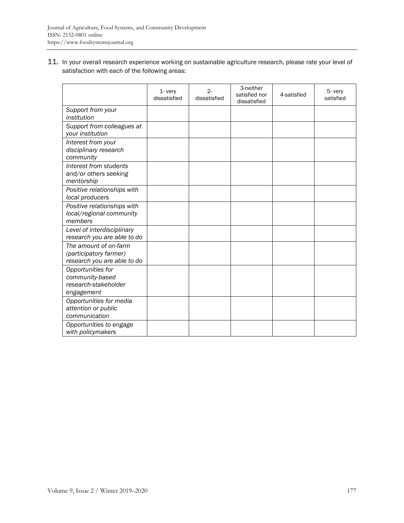11. In your overall research experience working on sustainable agriculture research, please rate your level of satisfaction with each of the following areas:

|                                                                                | 1-very<br>dissatisfied | $2 -$<br>dissatisfied | 3-neither<br>satisfied nor<br>dissatisfied | 4-satisfied | 5- very<br>satisfied |
|--------------------------------------------------------------------------------|------------------------|-----------------------|--------------------------------------------|-------------|----------------------|
| Support from your<br>institution                                               |                        |                       |                                            |             |                      |
| Support from colleagues at<br>your institution                                 |                        |                       |                                            |             |                      |
| Interest from your<br>disciplinary research<br>community                       |                        |                       |                                            |             |                      |
| Interest from students<br>and/or others seeking<br>mentorship                  |                        |                       |                                            |             |                      |
| Positive relationships with<br>local producers                                 |                        |                       |                                            |             |                      |
| Positive relationships with<br>local/regional community<br>members             |                        |                       |                                            |             |                      |
| Level of interdisciplinary<br>research you are able to do                      |                        |                       |                                            |             |                      |
| The amount of on-farm<br>(participatory farmer)<br>research you are able to do |                        |                       |                                            |             |                      |
| Opportunities for<br>community-based<br>research-stakeholder<br>engagement     |                        |                       |                                            |             |                      |
| Opportunities for media<br>attention or public<br>communication                |                        |                       |                                            |             |                      |
| Opportunities to engage<br>with policymakers                                   |                        |                       |                                            |             |                      |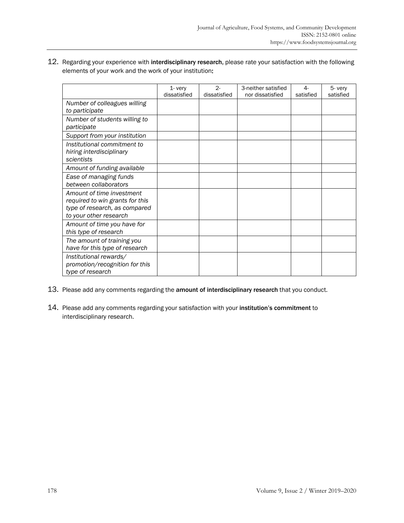| 12. Regarding your experience with interdisciplinary research, please rate your satisfaction with the following |
|-----------------------------------------------------------------------------------------------------------------|
| elements of your work and the work of your institution:                                                         |

|                                                                                                                         | 1- very<br>dissatisfied | $2 -$<br>dissatisfied | 3-neither satisfied<br>nor dissatisfied | 4-<br>satisfied | 5- very<br>satisfied |
|-------------------------------------------------------------------------------------------------------------------------|-------------------------|-----------------------|-----------------------------------------|-----------------|----------------------|
| Number of colleagues willing<br>to participate                                                                          |                         |                       |                                         |                 |                      |
| Number of students willing to<br>participate                                                                            |                         |                       |                                         |                 |                      |
| Support from your institution                                                                                           |                         |                       |                                         |                 |                      |
| Institutional commitment to<br>hiring interdisciplinary<br>scientists                                                   |                         |                       |                                         |                 |                      |
| Amount of funding available                                                                                             |                         |                       |                                         |                 |                      |
| Ease of managing funds<br>between collaborators                                                                         |                         |                       |                                         |                 |                      |
| Amount of time investment<br>required to win grants for this<br>type of research, as compared<br>to your other research |                         |                       |                                         |                 |                      |
| Amount of time you have for<br>this type of research                                                                    |                         |                       |                                         |                 |                      |
| The amount of training you<br>have for this type of research                                                            |                         |                       |                                         |                 |                      |
| Institutional rewards/<br>promotion/recognition for this<br>type of research                                            |                         |                       |                                         |                 |                      |

- 13. Please add any comments regarding the amount of interdisciplinary research that you conduct.
- 14. Please add any comments regarding your satisfaction with your institution's commitment to interdisciplinary research.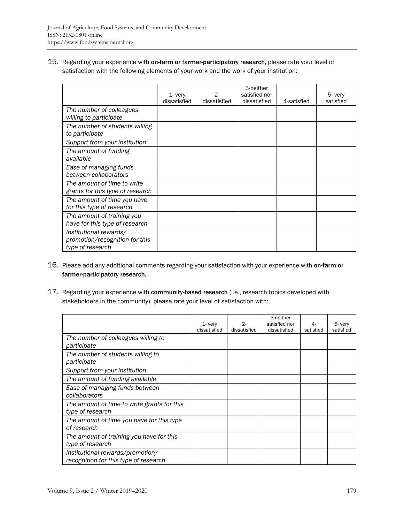15. Regarding your experience with on-farm or farmer-participatory research, please rate your level of satisfaction with the following elements of your work and the work of your institution:

|                                                                              | $1 - \text{very}$<br>dissatisfied | $2 -$<br>dissatisfied | 3-neither<br>satisfied nor<br>dissatisfied | 4-satisfied | 5- very<br>satisfied |
|------------------------------------------------------------------------------|-----------------------------------|-----------------------|--------------------------------------------|-------------|----------------------|
| The number of colleagues<br>willing to participate                           |                                   |                       |                                            |             |                      |
| The number of students willing<br>to participate                             |                                   |                       |                                            |             |                      |
| Support from your institution                                                |                                   |                       |                                            |             |                      |
| The amount of funding<br>available                                           |                                   |                       |                                            |             |                      |
| Ease of managing funds<br>between collaborators                              |                                   |                       |                                            |             |                      |
| The amount of time to write<br>grants for this type of research              |                                   |                       |                                            |             |                      |
| The amount of time you have<br>for this type of research                     |                                   |                       |                                            |             |                      |
| The amount of training you<br>have for this type of research                 |                                   |                       |                                            |             |                      |
| Institutional rewards/<br>promotion/recognition for this<br>type of research |                                   |                       |                                            |             |                      |

- 16. Please add any additional comments regarding your satisfaction with your experience with on-farm or farmer-participatory research.
- 17. Regarding your experience with community-based research (i.e., research topics developed with stakeholders in the community), please rate your level of satisfaction with:

|                                                                           | $1 - \text{very}$<br>dissatisfied | 2-<br>dissatisfied | 3-neither<br>satisfied nor<br>dissatisfied | satisfied | 5- very<br>satisfied |
|---------------------------------------------------------------------------|-----------------------------------|--------------------|--------------------------------------------|-----------|----------------------|
| The number of colleagues willing to<br>participate                        |                                   |                    |                                            |           |                      |
| The number of students willing to<br>participate                          |                                   |                    |                                            |           |                      |
| Support from your institution                                             |                                   |                    |                                            |           |                      |
| The amount of funding available                                           |                                   |                    |                                            |           |                      |
| Ease of managing funds between<br>collaborators                           |                                   |                    |                                            |           |                      |
| The amount of time to write grants for this<br>type of research           |                                   |                    |                                            |           |                      |
| The amount of time you have for this type<br>of research                  |                                   |                    |                                            |           |                      |
| The amount of training you have for this<br>type of research              |                                   |                    |                                            |           |                      |
| Institutional rewards/promotion/<br>recognition for this type of research |                                   |                    |                                            |           |                      |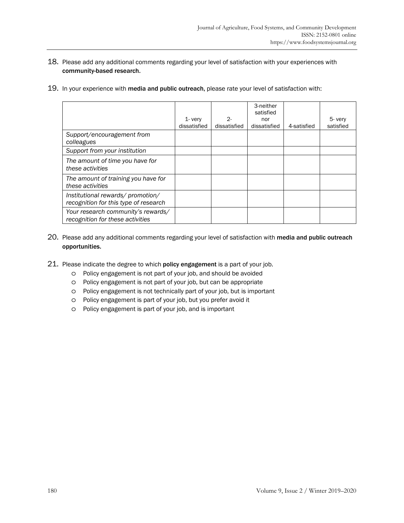- 18. Please add any additional comments regarding your level of satisfaction with your experiences with community-based research.
- 19. In your experience with media and public outreach, please rate your level of satisfaction with:

|                                                                           | $1 - \text{very}$<br>dissatisfied | $2 -$<br>dissatisfied | 3-neither<br>satisfied<br>nor<br>dissatisfied | 4-satisfied | 5- very<br>satisfied |
|---------------------------------------------------------------------------|-----------------------------------|-----------------------|-----------------------------------------------|-------------|----------------------|
| Support/encouragement from<br>colleagues                                  |                                   |                       |                                               |             |                      |
| Support from your institution                                             |                                   |                       |                                               |             |                      |
| The amount of time you have for<br>these activities                       |                                   |                       |                                               |             |                      |
| The amount of training you have for<br>these activities                   |                                   |                       |                                               |             |                      |
| Institutional rewards/promotion/<br>recognition for this type of research |                                   |                       |                                               |             |                      |
| Your research community's rewards/<br>recognition for these activities    |                                   |                       |                                               |             |                      |

- 20. Please add any additional comments regarding your level of satisfaction with media and public outreach opportunities.
- 21. Please indicate the degree to which policy engagement is a part of your job.
	- o Policy engagement is not part of your job, and should be avoided
	- o Policy engagement is not part of your job, but can be appropriate
	- o Policy engagement is not technically part of your job, but is important
	- o Policy engagement is part of your job, but you prefer avoid it
	- o Policy engagement is part of your job, and is important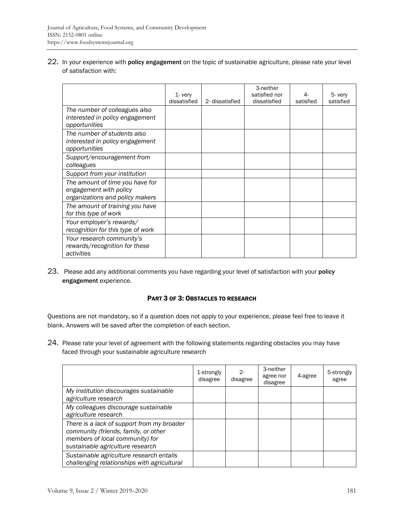22. In your experience with policy engagement on the topic of sustainable agriculture, please rate your level of satisfaction with:

|                                                                                              | $1 - \text{very}$<br>dissatisfied | 2- dissatisfied | 3-neither<br>satisfied nor<br>dissatisfied | $4-$<br>satisfied | 5- very<br>satisfied |
|----------------------------------------------------------------------------------------------|-----------------------------------|-----------------|--------------------------------------------|-------------------|----------------------|
| The number of colleagues also<br>interested in policy engagement<br>opportunities            |                                   |                 |                                            |                   |                      |
| The number of students also<br>interested in policy engagement<br>opportunities              |                                   |                 |                                            |                   |                      |
| Support/encouragement from<br>colleagues                                                     |                                   |                 |                                            |                   |                      |
| Support from your institution                                                                |                                   |                 |                                            |                   |                      |
| The amount of time you have for<br>engagement with policy<br>organizations and policy makers |                                   |                 |                                            |                   |                      |
| The amount of training you have<br>for this type of work                                     |                                   |                 |                                            |                   |                      |
| Your employer's rewards/<br>recognition for this type of work                                |                                   |                 |                                            |                   |                      |
| Your research community's<br>rewards/recognition for these<br>activities                     |                                   |                 |                                            |                   |                      |

23. Please add any additional comments you have regarding your level of satisfaction with your policy engagement experience.

### PART 3 OF 3: OBSTACLES TO RESEARCH

Questions are not mandatory, so if a question does not apply to your experience, please feel free to leave it blank. Answers will be saved after the completion of each section.

24. Please rate your level of agreement with the following statements regarding obstacles you may have faced through your sustainable agriculture research

|                                                                                                                                                           | 1-strongly<br>disagree | $2 -$<br>disagree | 3-neither<br>agree nor<br>disagree | 4-agree | 5-strongly<br>agree |
|-----------------------------------------------------------------------------------------------------------------------------------------------------------|------------------------|-------------------|------------------------------------|---------|---------------------|
| My institution discourages sustainable<br>agriculture research                                                                                            |                        |                   |                                    |         |                     |
| My colleagues discourage sustainable<br>agriculture research                                                                                              |                        |                   |                                    |         |                     |
| There is a lack of support from my broader<br>community (friends, family, or other<br>members of local community) for<br>sustainable agriculture research |                        |                   |                                    |         |                     |
| Sustainable agriculture research entails<br>challenging relationships with agricultural                                                                   |                        |                   |                                    |         |                     |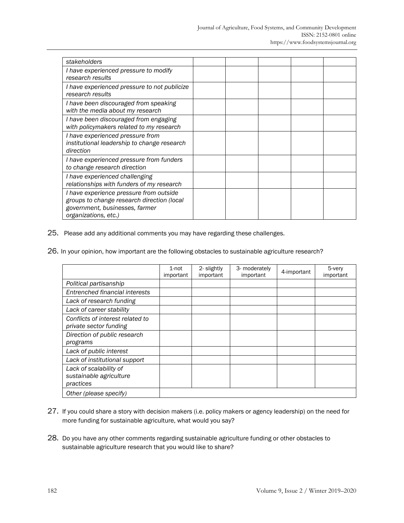| stakeholders                                                                                                                                    |  |  |  |
|-------------------------------------------------------------------------------------------------------------------------------------------------|--|--|--|
| I have experienced pressure to modify<br>research results                                                                                       |  |  |  |
| I have experienced pressure to not publicize<br>research results                                                                                |  |  |  |
| I have been discouraged from speaking<br>with the media about my research                                                                       |  |  |  |
| I have been discouraged from engaging<br>with policymakers related to my research                                                               |  |  |  |
| I have experienced pressure from<br>institutional leadership to change research<br>direction                                                    |  |  |  |
| I have experienced pressure from funders<br>to change research direction                                                                        |  |  |  |
| I have experienced challenging<br>relationships with funders of my research                                                                     |  |  |  |
| I have experience pressure from outside<br>groups to change research direction (local<br>government, businesses, farmer<br>organizations, etc.) |  |  |  |

25. Please add any additional comments you may have regarding these challenges.

26. In your opinion, how important are the following obstacles to sustainable agriculture research?

|                                                                | $1$ -not<br>important | 2- slightly<br>important | 3- moderately<br>important | 4-important | 5-very<br>important |
|----------------------------------------------------------------|-----------------------|--------------------------|----------------------------|-------------|---------------------|
| Political partisanship                                         |                       |                          |                            |             |                     |
| Entrenched financial interests                                 |                       |                          |                            |             |                     |
| Lack of research funding                                       |                       |                          |                            |             |                     |
| Lack of career stability                                       |                       |                          |                            |             |                     |
| Conflicts of interest related to<br>private sector funding     |                       |                          |                            |             |                     |
| Direction of public research<br>programs                       |                       |                          |                            |             |                     |
| Lack of public interest                                        |                       |                          |                            |             |                     |
| Lack of institutional support                                  |                       |                          |                            |             |                     |
| Lack of scalability of<br>sustainable agriculture<br>practices |                       |                          |                            |             |                     |
| Other (please specify)                                         |                       |                          |                            |             |                     |

- 27. If you could share a story with decision makers (i.e. policy makers or agency leadership) on the need for more funding for sustainable agriculture, what would you say?
- 28. Do you have any other comments regarding sustainable agriculture funding or other obstacles to sustainable agriculture research that you would like to share?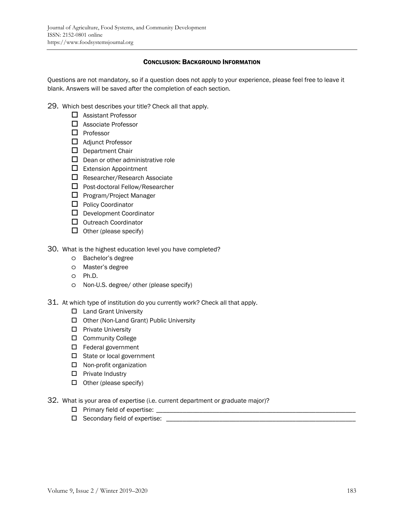### CONCLUSION: BACKGROUND INFORMATION

Questions are not mandatory, so if a question does not apply to your experience, please feel free to leave it blank. Answers will be saved after the completion of each section.

29. Which best describes your title? Check all that apply.

- □ Assistant Professor
- □ Associate Professor
- $\Box$  Professor
- Adjunct Professor
- $\square$  Department Chair
- $\Box$  Dean or other administrative role
- $\Box$  Extension Appointment
- $\Box$  Researcher/Research Associate
- $\Box$  Post-doctoral Fellow/Researcher
- $\square$  Program/Project Manager
- $\Box$  Policy Coordinator
- $\Box$  Development Coordinator
- $\Box$  Outreach Coordinator
- $\Box$  Other (please specify)
- 30. What is the highest education level you have completed?
	- o Bachelor's degree
	- o Master's degree
	- o Ph.D.
	- o Non-U.S. degree/ other (please specify)
- 31. At which type of institution do you currently work? Check all that apply.
	- □ Land Grant University
	- □ Other (Non-Land Grant) Public University
	- $\square$  Private University
	- □ Community College
	- □ Federal government
	- □ State or local government
	- $\square$  Non-profit organization
	- $\square$  Private Industry
	- $\Box$  Other (please specify)
- 32. What is your area of expertise (i.e. current department or graduate major)?
	- Primary field of expertise: \_\_\_\_\_\_\_\_\_\_\_\_\_\_\_\_\_\_\_\_\_\_\_\_\_\_\_\_\_\_\_\_\_\_\_\_\_\_\_\_\_\_\_\_\_\_\_\_\_\_\_\_\_\_\_\_\_\_\_\_
	- Secondary field of expertise: \_\_\_\_\_\_\_\_\_\_\_\_\_\_\_\_\_\_\_\_\_\_\_\_\_\_\_\_\_\_\_\_\_\_\_\_\_\_\_\_\_\_\_\_\_\_\_\_\_\_\_\_\_\_\_\_\_